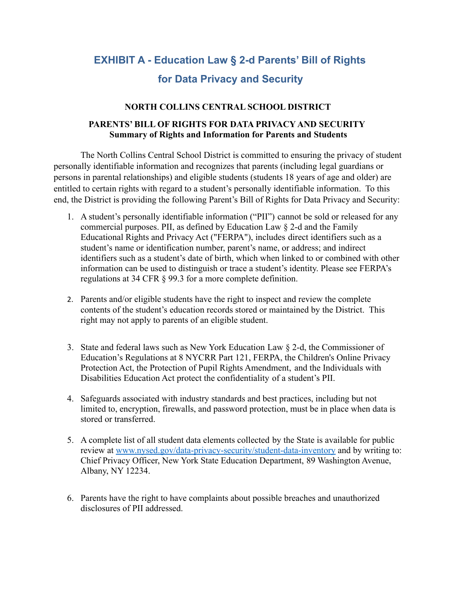# **EXHIBIT A - Education Law § 2-d Parents' Bill of Rights for Data Privacy and Security**

### **NORTH COLLINS CENTRAL SCHOOL DISTRICT**

### **PARENTS' BILL OF RIGHTS FOR DATA PRIVACY AND SECURITY Summary of Rights and Information for Parents and Students**

The North Collins Central School District is committed to ensuring the privacy of student personally identifiable information and recognizes that parents (including legal guardians or persons in parental relationships) and eligible students (students 18 years of age and older) are entitled to certain rights with regard to a student's personally identifiable information. To this end, the District is providing the following Parent's Bill of Rights for Data Privacy and Security:

- 1. A student's personally identifiable information ("PII") cannot be sold or released for any commercial purposes. PII, as defined by Education Law § 2-d and the Family Educational Rights and Privacy Act ("FERPA"), includes direct identifiers such as a student's name or identification number, parent's name, or address; and indirect identifiers such as a student's date of birth, which when linked to or combined with other information can be used to distinguish or trace a student's identity. Please see FERPA's regulations at 34 CFR § 99.3 for a more complete definition.
- 2. Parents and/or eligible students have the right to inspect and review the complete contents of the student's education records stored or maintained by the District. This right may not apply to parents of an eligible student.
- 3. State and federal laws such as New York Education Law § 2-d, the Commissioner of Education's Regulations at 8 NYCRR Part 121, FERPA, the Children's Online Privacy Protection Act, the Protection of Pupil Rights Amendment, and the Individuals with Disabilities Education Act protect the confidentiality of a student's PII.
- 4. Safeguards associated with industry standards and best practices, including but not limited to, encryption, firewalls, and password protection, must be in place when data is stored or transferred.
- 5. A complete list of all student data elements collected by the State is available for public review at [www.nysed.gov/data-privacy-security/student-data-inventory](http://www.nysed.gov/data-privacy-security/student-data-inventory) and by writing to: Chief Privacy Officer, New York State Education Department, 89 Washington Avenue, Albany, NY 12234.
- 6. Parents have the right to have complaints about possible breaches and unauthorized disclosures of PII addressed.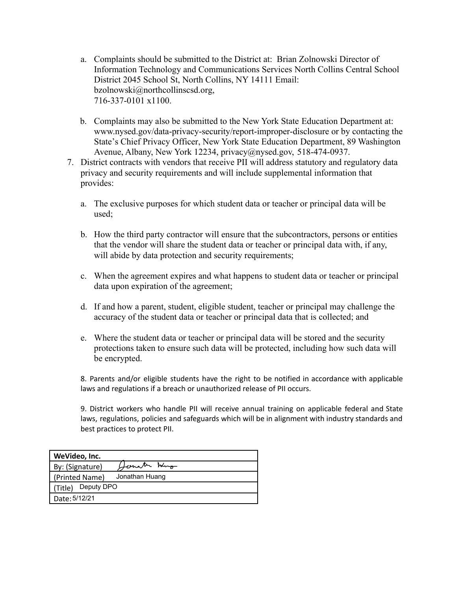- a. Complaints should be submitted to the District at: Brian Zolnowski Director of Information Technology and Communications Services North Collins Central School District 2045 School St, North Collins, NY 14111 Email: bzolnowski@northcollinscsd.org, 716-337-0101 x1100.
- b. Complaints may also be submitted to the New York State Education Department at: www.nysed.gov/data-privacy-security/report-improper-disclosure or by contacting the State's Chief Privacy Officer, New York State Education Department, 89 Washington Avenue, Albany, New York 12234, privacy@nysed.gov, 518-474-0937.
- 7. District contracts with vendors that receive PII will address statutory and regulatory data privacy and security requirements and will include supplemental information that provides:
	- a. The exclusive purposes for which student data or teacher or principal data will be used;
	- b. How the third party contractor will ensure that the subcontractors, persons or entities that the vendor will share the student data or teacher or principal data with, if any, will abide by data protection and security requirements;
	- c. When the agreement expires and what happens to student data or teacher or principal data upon expiration of the agreement;
	- d. If and how a parent, student, eligible student, teacher or principal may challenge the accuracy of the student data or teacher or principal data that is collected; and
	- e. Where the student data or teacher or principal data will be stored and the security protections taken to ensure such data will be protected, including how such data will be encrypted.

8. Parents and/or eligible students have the right to be notified in accordance with applicable laws and regulations if a breach or unauthorized release of PII occurs.

9. District workers who handle PII will receive annual training on applicable federal and State laws, regulations, policies and safeguards which will be in alignment with industry standards and best practices to protect PII.

| WeVideo, Inc.         |                |
|-----------------------|----------------|
| By: (Signature)       | Hernater Hung  |
| (Printed Name)        | Jonathan Huang |
| Deputy DPO<br>(Title) |                |
| Date: 5/12/21         |                |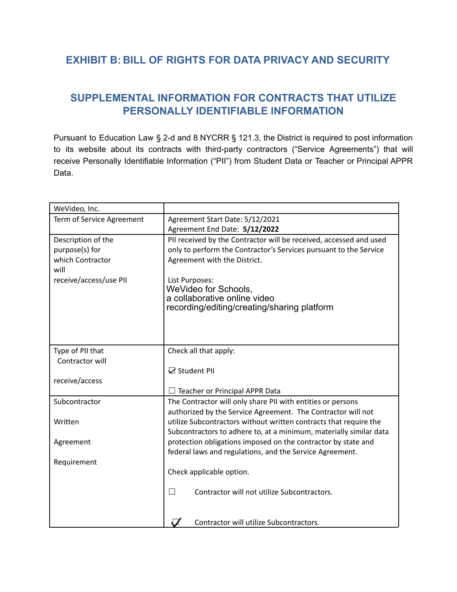## **EXHIBIT B: BILL OF RIGHTS FOR DATA PRIVACY AND SECURITY**

## **SUPPLEMENTAL INFORMATION FOR CONTRACTS THAT UTILIZE PERSONALLY IDENTIFIABLE INFORMATION**

Pursuant to Education Law § 2-d and 8 NYCRR § 121.3, the District is required to post information to its website about its contracts with third-party contractors ("Service Agreements") that will receive Personally Identifiable Information ("PII") from Student Data or Teacher or Principal APPR Data.

| WeVideo, Inc.             |                                                                             |
|---------------------------|-----------------------------------------------------------------------------|
| Term of Service Agreement | Agreement Start Date: 5/12/2021                                             |
|                           | Agreement End Date: 5/12/2022                                               |
| Description of the        | PII received by the Contractor will be received, accessed and used          |
| purpose(s) for            | only to perform the Contractor's Services pursuant to the Service           |
| which Contractor          | Agreement with the District.                                                |
| will                      |                                                                             |
| receive/access/use PII    | List Purposes:                                                              |
|                           | WeVideo for Schools,                                                        |
|                           | a collaborative online video<br>recording/editing/creating/sharing platform |
|                           |                                                                             |
|                           |                                                                             |
|                           |                                                                             |
|                           |                                                                             |
| Type of PII that          | Check all that apply:                                                       |
| Contractor will           | ☑ Student PII                                                               |
| receive/access            |                                                                             |
|                           | Teacher or Principal APPR Data                                              |
| Subcontractor             | The Contractor will only share PII with entities or persons                 |
|                           | authorized by the Service Agreement. The Contractor will not                |
| Written                   | utilize Subcontractors without written contracts that require the           |
|                           | Subcontractors to adhere to, at a minimum, materially similar data          |
| Agreement                 | protection obligations imposed on the contractor by state and               |
|                           | federal laws and regulations, and the Service Agreement.                    |
| Requirement               |                                                                             |
|                           | Check applicable option.                                                    |
|                           |                                                                             |
|                           | Contractor will not utilize Subcontractors.<br>$\blacksquare$               |
|                           |                                                                             |
|                           |                                                                             |
|                           | Contractor will utilize Subcontractors.                                     |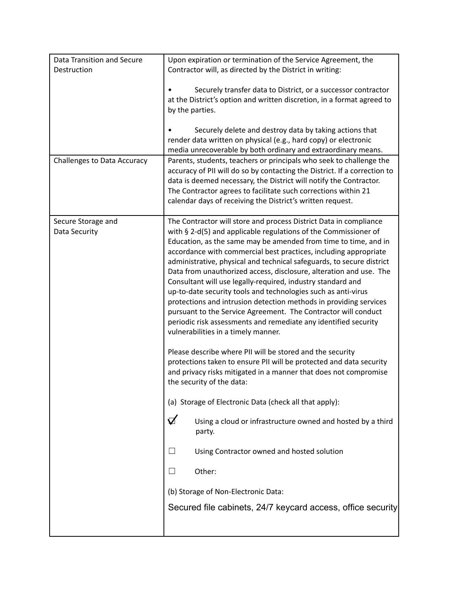| Data Transition and Secure          | Upon expiration or termination of the Service Agreement, the                                                                                                                                                                                                                                                                                                                                                                                                                                                                                                                                                                                                                                                                                                                                                                                                                                                                                                                                                                                                                                                                                                                                                                                                                                                                                                     |  |
|-------------------------------------|------------------------------------------------------------------------------------------------------------------------------------------------------------------------------------------------------------------------------------------------------------------------------------------------------------------------------------------------------------------------------------------------------------------------------------------------------------------------------------------------------------------------------------------------------------------------------------------------------------------------------------------------------------------------------------------------------------------------------------------------------------------------------------------------------------------------------------------------------------------------------------------------------------------------------------------------------------------------------------------------------------------------------------------------------------------------------------------------------------------------------------------------------------------------------------------------------------------------------------------------------------------------------------------------------------------------------------------------------------------|--|
| Destruction                         | Contractor will, as directed by the District in writing:                                                                                                                                                                                                                                                                                                                                                                                                                                                                                                                                                                                                                                                                                                                                                                                                                                                                                                                                                                                                                                                                                                                                                                                                                                                                                                         |  |
|                                     | Securely transfer data to District, or a successor contractor<br>at the District's option and written discretion, in a format agreed to<br>by the parties.<br>Securely delete and destroy data by taking actions that<br>render data written on physical (e.g., hard copy) or electronic                                                                                                                                                                                                                                                                                                                                                                                                                                                                                                                                                                                                                                                                                                                                                                                                                                                                                                                                                                                                                                                                         |  |
|                                     | media unrecoverable by both ordinary and extraordinary means.                                                                                                                                                                                                                                                                                                                                                                                                                                                                                                                                                                                                                                                                                                                                                                                                                                                                                                                                                                                                                                                                                                                                                                                                                                                                                                    |  |
| <b>Challenges to Data Accuracy</b>  | Parents, students, teachers or principals who seek to challenge the<br>accuracy of PII will do so by contacting the District. If a correction to<br>data is deemed necessary, the District will notify the Contractor.<br>The Contractor agrees to facilitate such corrections within 21<br>calendar days of receiving the District's written request.                                                                                                                                                                                                                                                                                                                                                                                                                                                                                                                                                                                                                                                                                                                                                                                                                                                                                                                                                                                                           |  |
| Secure Storage and<br>Data Security | The Contractor will store and process District Data in compliance<br>with $\S$ 2-d(5) and applicable regulations of the Commissioner of<br>Education, as the same may be amended from time to time, and in<br>accordance with commercial best practices, including appropriate<br>administrative, physical and technical safeguards, to secure district<br>Data from unauthorized access, disclosure, alteration and use. The<br>Consultant will use legally-required, industry standard and<br>up-to-date security tools and technologies such as anti-virus<br>protections and intrusion detection methods in providing services<br>pursuant to the Service Agreement. The Contractor will conduct<br>periodic risk assessments and remediate any identified security<br>vulnerabilities in a timely manner.<br>Please describe where PII will be stored and the security<br>protections taken to ensure PII will be protected and data security<br>and privacy risks mitigated in a manner that does not compromise<br>the security of the data:<br>(a) Storage of Electronic Data (check all that apply):<br>$\Delta$<br>Using a cloud or infrastructure owned and hosted by a third<br>party.<br>Using Contractor owned and hosted solution<br>Other:<br>(b) Storage of Non-Electronic Data:<br>Secured file cabinets, 24/7 keycard access, office security |  |
|                                     |                                                                                                                                                                                                                                                                                                                                                                                                                                                                                                                                                                                                                                                                                                                                                                                                                                                                                                                                                                                                                                                                                                                                                                                                                                                                                                                                                                  |  |